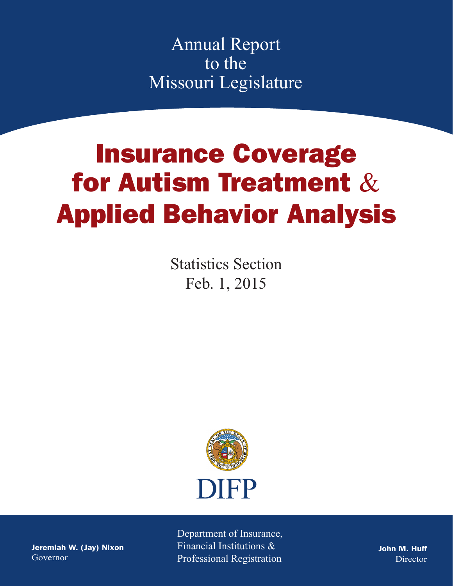Annual Report to the Missouri Legislature

# Insurance Coverage for Autism Treatment & Applied Behavior Analysis

Statistics Section Feb. 1, 2015



Jeremiah W. (Jay) Nixon Governor

Department of Insurance, Financial Institutions & Professional Registration

John M. Huff Director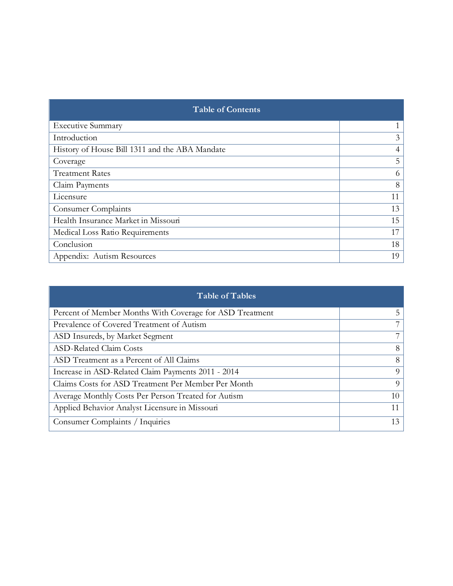| <b>Table of Contents</b>                       |    |  |  |
|------------------------------------------------|----|--|--|
| <b>Executive Summary</b>                       |    |  |  |
| Introduction                                   | 3  |  |  |
| History of House Bill 1311 and the ABA Mandate | 4  |  |  |
| Coverage                                       | 5  |  |  |
| <b>Treatment Rates</b>                         | 6  |  |  |
| Claim Payments                                 | 8  |  |  |
| Licensure                                      | 11 |  |  |
| <b>Consumer Complaints</b>                     | 13 |  |  |
| Health Insurance Market in Missouri            | 15 |  |  |
| Medical Loss Ratio Requirements                | 17 |  |  |
| Conclusion                                     | 18 |  |  |
| Appendix: Autism Resources                     | 19 |  |  |

| <b>Table of Tables</b>                                   |    |  |  |
|----------------------------------------------------------|----|--|--|
| Percent of Member Months With Coverage for ASD Treatment | 5  |  |  |
| Prevalence of Covered Treatment of Autism                | 7  |  |  |
| ASD Insureds, by Market Segment                          | 7  |  |  |
| <b>ASD-Related Claim Costs</b>                           | 8  |  |  |
| ASD Treatment as a Percent of All Claims                 | 8  |  |  |
| Increase in ASD-Related Claim Payments 2011 - 2014       | 9  |  |  |
| Claims Costs for ASD Treatment Per Member Per Month      | 9  |  |  |
| Average Monthly Costs Per Person Treated for Autism      | 10 |  |  |
| Applied Behavior Analyst Licensure in Missouri           | 11 |  |  |
| Consumer Complaints / Inquiries                          | 13 |  |  |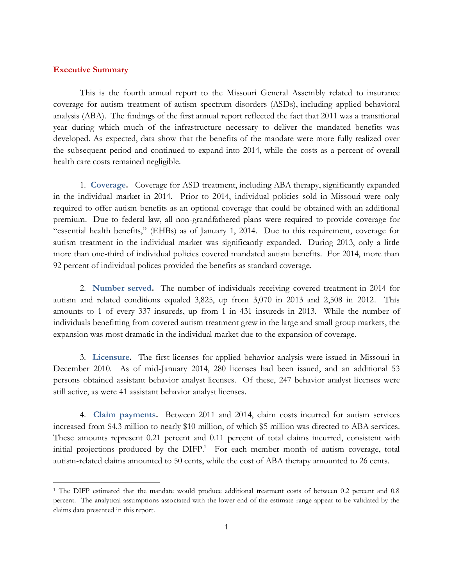## **Executive Summary**

 $\overline{a}$ 

This is the fourth annual report to the Missouri General Assembly related to insurance coverage for autism treatment of autism spectrum disorders (ASDs), including applied behavioral analysis (ABA). The findings of the first annual report reflected the fact that 2011 was a transitional year during which much of the infrastructure necessary to deliver the mandated benefits was developed. As expected, data show that the benefits of the mandate were more fully realized over the subsequent period and continued to expand into 2014, while the costs as a percent of overall health care costs remained negligible.

1. **Coverage.** Coverage for ASD treatment, including ABA therapy, significantly expanded in the individual market in 2014. Prior to 2014, individual policies sold in Missouri were only required to offer autism benefits as an optional coverage that could be obtained with an additional premium. Due to federal law, all non-grandfathered plans were required to provide coverage for "essential health benefits," (EHBs) as of January 1, 2014. Due to this requirement, coverage for autism treatment in the individual market was significantly expanded. During 2013, only a little more than one-third of individual policies covered mandated autism benefits. For 2014, more than 92 percent of individual polices provided the benefits as standard coverage.

2. **Number served.** The number of individuals receiving covered treatment in 2014 for autism and related conditions equaled 3,825, up from 3,070 in 2013 and 2,508 in 2012. This amounts to 1 of every 337 insureds, up from 1 in 431 insureds in 2013. While the number of individuals benefitting from covered autism treatment grew in the large and small group markets, the expansion was most dramatic in the individual market due to the expansion of coverage.

3. **Licensure.** The first licenses for applied behavior analysis were issued in Missouri in December 2010. As of mid-January 2014, 280 licenses had been issued, and an additional 53 persons obtained assistant behavior analyst licenses. Of these, 247 behavior analyst licenses were still active, as were 41 assistant behavior analyst licenses.

4. **Claim payments.** Between 2011 and 2014, claim costs incurred for autism services increased from \$4.3 million to nearly \$10 million, of which \$5 million was directed to ABA services. These amounts represent 0.21 percent and 0.11 percent of total claims incurred, consistent with initial projections produced by the DIFP.<sup>1</sup> For each member month of autism coverage, total autism-related claims amounted to 50 cents, while the cost of ABA therapy amounted to 26 cents.

<sup>&</sup>lt;sup>1</sup> The DIFP estimated that the mandate would produce additional treatment costs of between 0.2 percent and 0.8 percent. The analytical assumptions associated with the lower-end of the estimate range appear to be validated by the claims data presented in this report.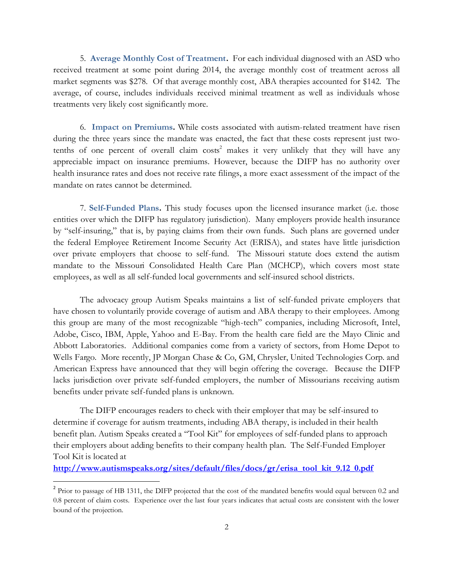5. **Average Monthly Cost of Treatment.** For each individual diagnosed with an ASD who received treatment at some point during 2014, the average monthly cost of treatment across all market segments was \$278. Of that average monthly cost, ABA therapies accounted for \$142. The average, of course, includes individuals received minimal treatment as well as individuals whose treatments very likely cost significantly more.

6. **Impact on Premiums.** While costs associated with autism-related treatment have risen during the three years since the mandate was enacted, the fact that these costs represent just twotenths of one percent of overall claim  $\cos^2$  makes it very unlikely that they will have any appreciable impact on insurance premiums. However, because the DIFP has no authority over health insurance rates and does not receive rate filings, a more exact assessment of the impact of the mandate on rates cannot be determined.

7. **Self-Funded Plans.** This study focuses upon the licensed insurance market (i.e. those entities over which the DIFP has regulatory jurisdiction). Many employers provide health insurance by "self-insuring," that is, by paying claims from their own funds. Such plans are governed under the federal Employee Retirement Income Security Act (ERISA), and states have little jurisdiction over private employers that choose to self-fund. The Missouri statute does extend the autism mandate to the Missouri Consolidated Health Care Plan (MCHCP), which covers most state employees, as well as all self-funded local governments and self-insured school districts.

The advocacy group Autism Speaks maintains a list of self-funded private employers that have chosen to voluntarily provide coverage of autism and ABA therapy to their employees. Among this group are many of the most recognizable "high-tech" companies, including Microsoft, Intel, Adobe, Cisco, IBM, Apple, Yahoo and E-Bay. From the health care field are the Mayo Clinic and Abbott Laboratories. Additional companies come from a variety of sectors, from Home Depot to Wells Fargo. More recently, JP Morgan Chase & Co, GM, Chrysler, United Technologies Corp. and American Express have announced that they will begin offering the coverage. Because the DIFP lacks jurisdiction over private self-funded employers, the number of Missourians receiving autism benefits under private self-funded plans is unknown.

The DIFP encourages readers to check with their employer that may be self-insured to determine if coverage for autism treatments, including ABA therapy, is included in their health benefit plan. Autism Speaks created a "Tool Kit" for employees of self-funded plans to approach their employers about adding benefits to their company health plan. The Self-Funded Employer Tool Kit is located at

**[http://www.autismspeaks.org/sites/default/files/docs/gr/erisa\\_tool\\_kit\\_9.12\\_0.pdf](http://www.autismspeaks.org/sites/default/files/docs/gr/erisa_tool_kit_9.12_0.pdf)**

 $\overline{a}$ 

<sup>&</sup>lt;sup>2</sup> Prior to passage of HB 1311, the DIFP projected that the cost of the mandated benefits would equal between 0.2 and 0.8 percent of claim costs. Experience over the last four years indicates that actual costs are consistent with the lower bound of the projection.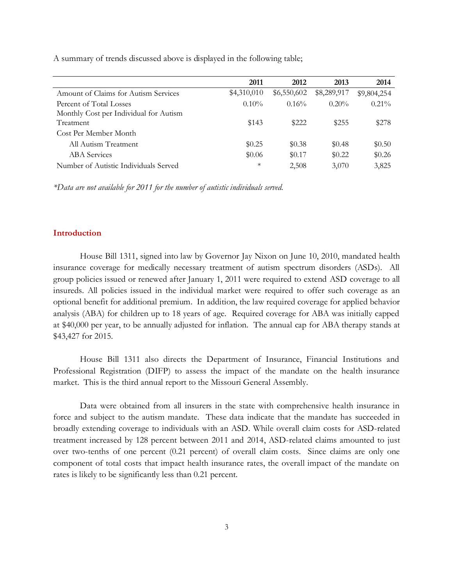| A summary of trends discussed above is displayed in the following table; |  |  |
|--------------------------------------------------------------------------|--|--|
|                                                                          |  |  |

|                                        | 2011        | 2012        | 2013        | 2014        |
|----------------------------------------|-------------|-------------|-------------|-------------|
| Amount of Claims for Autism Services   | \$4,310,010 | \$6,550,602 | \$8,289,917 | \$9,804,254 |
| Percent of Total Losses                | $0.10\%$    | 0.16%       | $0.20\%$    | $0.21\%$    |
| Monthly Cost per Individual for Autism |             |             |             |             |
| Treatment                              | \$143       | \$222       | \$255       | \$278       |
| Cost Per Member Month                  |             |             |             |             |
| All Autism Treatment                   | \$0.25      | \$0.38      | \$0.48      | \$0.50      |
| <b>ABA</b> Services                    | \$0.06      | \$0.17      | \$0.22      | \$0.26      |
| Number of Autistic Individuals Served  | $\ast$      | 2,508       | 3,070       | 3,825       |

*\*Data are not available for 2011 for the number of autistic individuals served.*

## **Introduction**

House Bill 1311, signed into law by Governor Jay Nixon on June 10, 2010, mandated health insurance coverage for medically necessary treatment of autism spectrum disorders (ASDs). All group policies issued or renewed after January 1, 2011 were required to extend ASD coverage to all insureds. All policies issued in the individual market were required to offer such coverage as an optional benefit for additional premium. In addition, the law required coverage for applied behavior analysis (ABA) for children up to 18 years of age. Required coverage for ABA was initially capped at \$40,000 per year, to be annually adjusted for inflation. The annual cap for ABA therapy stands at \$43,427 for 2015.

House Bill 1311 also directs the Department of Insurance, Financial Institutions and Professional Registration (DIFP) to assess the impact of the mandate on the health insurance market. This is the third annual report to the Missouri General Assembly.

Data were obtained from all insurers in the state with comprehensive health insurance in force and subject to the autism mandate. These data indicate that the mandate has succeeded in broadly extending coverage to individuals with an ASD. While overall claim costs for ASD-related treatment increased by 128 percent between 2011 and 2014, ASD-related claims amounted to just over two-tenths of one percent (0.21 percent) of overall claim costs. Since claims are only one component of total costs that impact health insurance rates, the overall impact of the mandate on rates is likely to be significantly less than 0.21 percent.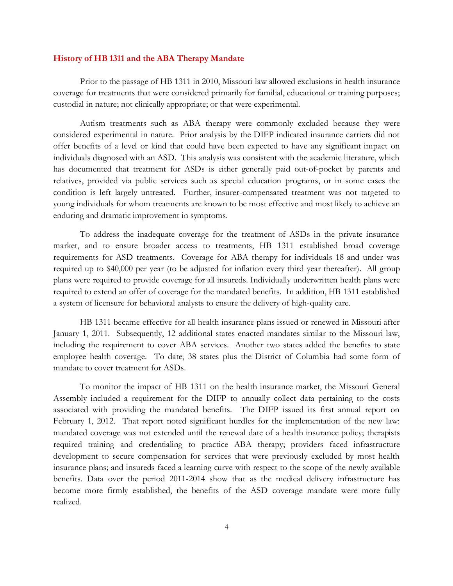## **History of HB 1311 and the ABA Therapy Mandate**

Prior to the passage of HB 1311 in 2010, Missouri law allowed exclusions in health insurance coverage for treatments that were considered primarily for familial, educational or training purposes; custodial in nature; not clinically appropriate; or that were experimental.

Autism treatments such as ABA therapy were commonly excluded because they were considered experimental in nature. Prior analysis by the DIFP indicated insurance carriers did not offer benefits of a level or kind that could have been expected to have any significant impact on individuals diagnosed with an ASD. This analysis was consistent with the academic literature, which has documented that treatment for ASDs is either generally paid out-of-pocket by parents and relatives, provided via public services such as special education programs, or in some cases the condition is left largely untreated. Further, insurer-compensated treatment was not targeted to young individuals for whom treatments are known to be most effective and most likely to achieve an enduring and dramatic improvement in symptoms.

To address the inadequate coverage for the treatment of ASDs in the private insurance market, and to ensure broader access to treatments, HB 1311 established broad coverage requirements for ASD treatments. Coverage for ABA therapy for individuals 18 and under was required up to \$40,000 per year (to be adjusted for inflation every third year thereafter). All group plans were required to provide coverage for all insureds. Individually underwritten health plans were required to extend an offer of coverage for the mandated benefits. In addition, HB 1311 established a system of licensure for behavioral analysts to ensure the delivery of high-quality care.

HB 1311 became effective for all health insurance plans issued or renewed in Missouri after January 1, 2011. Subsequently, 12 additional states enacted mandates similar to the Missouri law, including the requirement to cover ABA services. Another two states added the benefits to state employee health coverage. To date, 38 states plus the District of Columbia had some form of mandate to cover treatment for ASDs.

To monitor the impact of HB 1311 on the health insurance market, the Missouri General Assembly included a requirement for the DIFP to annually collect data pertaining to the costs associated with providing the mandated benefits. The DIFP issued its first annual report on February 1, 2012. That report noted significant hurdles for the implementation of the new law: mandated coverage was not extended until the renewal date of a health insurance policy; therapists required training and credentialing to practice ABA therapy; providers faced infrastructure development to secure compensation for services that were previously excluded by most health insurance plans; and insureds faced a learning curve with respect to the scope of the newly available benefits. Data over the period 2011-2014 show that as the medical delivery infrastructure has become more firmly established, the benefits of the ASD coverage mandate were more fully realized.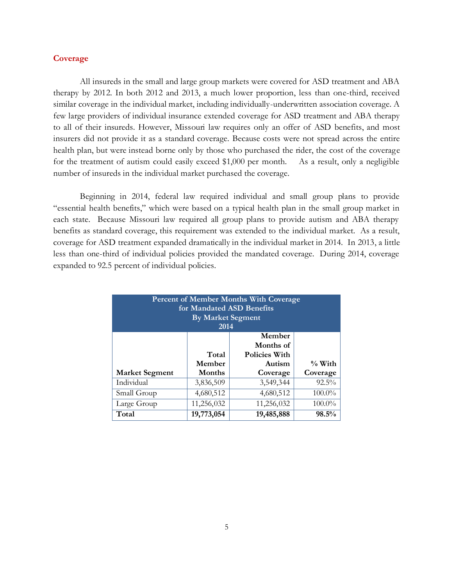## **Coverage**

All insureds in the small and large group markets were covered for ASD treatment and ABA therapy by 2012. In both 2012 and 2013, a much lower proportion, less than one-third, received similar coverage in the individual market, including individually-underwritten association coverage. A few large providers of individual insurance extended coverage for ASD treatment and ABA therapy to all of their insureds. However, Missouri law requires only an offer of ASD benefits, and most insurers did not provide it as a standard coverage. Because costs were not spread across the entire health plan, but were instead borne only by those who purchased the rider, the cost of the coverage for the treatment of autism could easily exceed \$1,000 per month. As a result, only a negligible number of insureds in the individual market purchased the coverage.

Beginning in 2014, federal law required individual and small group plans to provide "essential health benefits," which were based on a typical health plan in the small group market in each state. Because Missouri law required all group plans to provide autism and ABA therapy benefits as standard coverage, this requirement was extended to the individual market. As a result, coverage for ASD treatment expanded dramatically in the individual market in 2014. In 2013, a little less than one-third of individual policies provided the mandated coverage. During 2014, coverage expanded to 92.5 percent of individual policies.

| <b>Percent of Member Months With Coverage</b><br>for Mandated ASD Benefits<br><b>By Market Segment</b><br>2014 |                                       |                     |           |  |  |  |  |  |
|----------------------------------------------------------------------------------------------------------------|---------------------------------------|---------------------|-----------|--|--|--|--|--|
|                                                                                                                |                                       | Member<br>Months of |           |  |  |  |  |  |
|                                                                                                                | Total<br><b>Policies With</b>         |                     |           |  |  |  |  |  |
|                                                                                                                | Member                                | Autism              | $\%$ With |  |  |  |  |  |
| <b>Market Segment</b>                                                                                          | Months                                | Coverage            | Coverage  |  |  |  |  |  |
| Individual                                                                                                     | 3,836,509                             | 3,549,344           | $92.5\%$  |  |  |  |  |  |
| Small Group                                                                                                    | 4,680,512                             | 4,680,512           | $100.0\%$ |  |  |  |  |  |
| Large Group                                                                                                    | 11,256,032<br>11,256,032<br>$100.0\%$ |                     |           |  |  |  |  |  |
| Total                                                                                                          | 19,773,054                            | 19,485,888          | 98.5%     |  |  |  |  |  |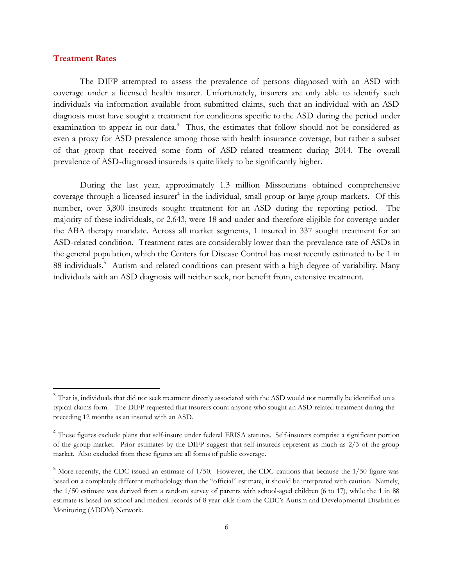## **Treatment Rates**

 $\overline{a}$ 

The DIFP attempted to assess the prevalence of persons diagnosed with an ASD with coverage under a licensed health insurer. Unfortunately, insurers are only able to identify such individuals via information available from submitted claims, such that an individual with an ASD diagnosis must have sought a treatment for conditions specific to the ASD during the period under examination to appear in our data.<sup>3</sup> Thus, the estimates that follow should not be considered as even a proxy for ASD prevalence among those with health insurance coverage, but rather a subset of that group that received some form of ASD-related treatment during 2014. The overall prevalence of ASD-diagnosed insureds is quite likely to be significantly higher.

During the last year, approximately 1.3 million Missourians obtained comprehensive coverage through a licensed insurer<sup>4</sup> in the individual, small group or large group markets. Of this number, over 3,800 insureds sought treatment for an ASD during the reporting period. The majority of these individuals, or 2,643, were 18 and under and therefore eligible for coverage under the ABA therapy mandate. Across all market segments, 1 insured in 337 sought treatment for an ASD-related condition. Treatment rates are considerably lower than the prevalence rate of ASDs in the general population, which the Centers for Disease Control has most recently estimated to be 1 in 88 individuals.<sup>5</sup> Autism and related conditions can present with a high degree of variability. Many individuals with an ASD diagnosis will neither seek, nor benefit from, extensive treatment.

<sup>&</sup>lt;sup>3</sup> That is, individuals that did not seek treatment directly associated with the ASD would not normally be identified on a typical claims form. The DIFP requested that insurers count anyone who sought an ASD-related treatment during the preceding 12 months as an insured with an ASD.

<sup>&</sup>lt;sup>4</sup> These figures exclude plans that self-insure under federal ERISA statutes. Self-insurers comprise a significant portion of the group market. Prior estimates by the DIFP suggest that self-insureds represent as much as 2/3 of the group market. Also excluded from these figures are all forms of public coverage.

<sup>&</sup>lt;sup>5</sup> More recently, the CDC issued an estimate of 1/50. However, the CDC cautions that because the 1/50 figure was based on a completely different methodology than the "official" estimate, it should be interpreted with caution. Namely, the 1/50 estimate was derived from a random survey of parents with school-aged children (6 to 17), while the 1 in 88 estimate is based on school and medical records of 8 year olds from the CDC's Autism and Developmental Disabilities Monitoring (ADDM) Network.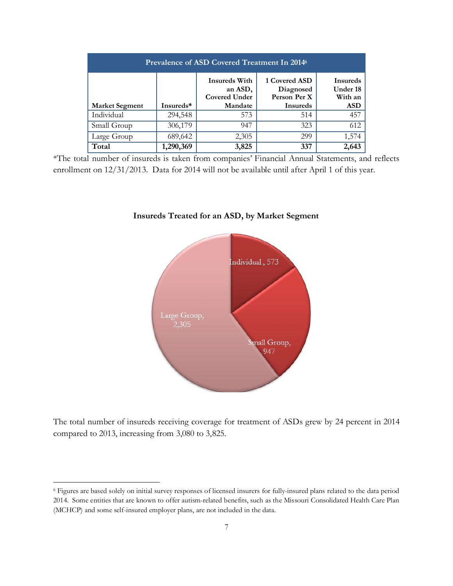| <b>Prevalence of ASD Covered Treatment In 2014</b> |           |                                                         |                                            |                                        |  |  |  |
|----------------------------------------------------|-----------|---------------------------------------------------------|--------------------------------------------|----------------------------------------|--|--|--|
|                                                    |           | <b>Insureds With</b><br>an ASD,<br><b>Covered Under</b> | 1 Covered ASD<br>Diagnosed<br>Person Per X | <b>Insureds</b><br>Under 18<br>With an |  |  |  |
| <b>Market Segment</b>                              | Insureds* | Mandate                                                 | <b>Insureds</b>                            | <b>ASD</b>                             |  |  |  |
| Individual                                         | 294,548   | 573                                                     | 514                                        | 457                                    |  |  |  |
| Small Group                                        | 306,179   | 947                                                     | 323                                        | 612                                    |  |  |  |
| Large Group                                        | 689,642   | 2,305                                                   | 299                                        | 1,574                                  |  |  |  |
| Total                                              | 1,290,369 | 3,825                                                   | 337                                        | 2,643                                  |  |  |  |

\*The total number of insureds is taken from companies' Financial Annual Statements, and reflects enrollment on 12/31/2013. Data for 2014 will not be available until after April 1 of this year.



# **Insureds Treated for an ASD, by Market Segment**

The total number of insureds receiving coverage for treatment of ASDs grew by 24 percent in 2014 compared to 2013, increasing from 3,080 to 3,825.

 $\overline{a}$ 

<sup>6</sup> Figures are based solely on initial survey responses of licensed insurers for fully-insured plans related to the data period 2014. Some entities that are known to offer autism-related benefits, such as the Missouri Consolidated Health Care Plan (MCHCP) and some self-insured employer plans, are not included in the data.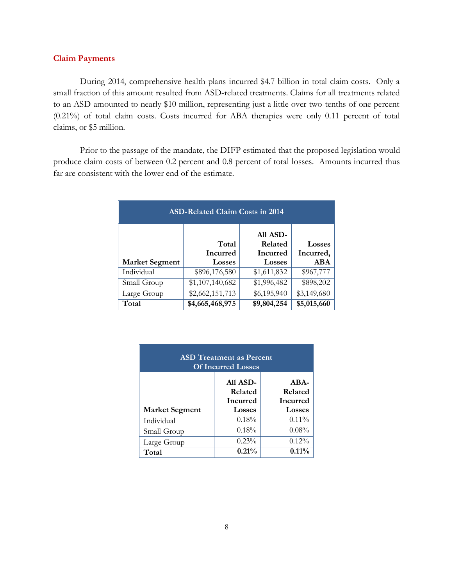## **Claim Payments**

During 2014, comprehensive health plans incurred \$4.7 billion in total claim costs. Only a small fraction of this amount resulted from ASD-related treatments. Claims for all treatments related to an ASD amounted to nearly \$10 million, representing just a little over two-tenths of one percent (0.21%) of total claim costs. Costs incurred for ABA therapies were only 0.11 percent of total claims, or \$5 million.

Prior to the passage of the mandate, the DIFP estimated that the proposed legislation would produce claim costs of between 0.2 percent and 0.8 percent of total losses. Amounts incurred thus far are consistent with the lower end of the estimate.

| <b>ASD-Related Claim Costs in 2014</b> |                                           |                                           |                                   |  |  |  |
|----------------------------------------|-------------------------------------------|-------------------------------------------|-----------------------------------|--|--|--|
| <b>Market Segment</b>                  | Total<br><b>Incurred</b><br><b>Losses</b> | All ASD-<br>Related<br>Incurred<br>Losses | Losses<br>Incurred,<br><b>ABA</b> |  |  |  |
| Individual                             | \$896,176,580                             | \$1,611,832                               | \$967,777                         |  |  |  |
| Small Group                            | \$1,107,140,682                           | \$1,996,482                               | \$898,202                         |  |  |  |
| Large Group                            | \$2,662,151,713                           | \$6,195,940                               | \$3,149,680                       |  |  |  |
| Total                                  | \$4,665,468,975                           | \$9,804,254                               | \$5,015,660                       |  |  |  |

| <b>ASD</b> Treatment as Percent<br><b>Of Incurred Losses</b> |                                        |                                      |  |  |  |  |
|--------------------------------------------------------------|----------------------------------------|--------------------------------------|--|--|--|--|
|                                                              | All ASD-<br>Related<br><b>Incurred</b> | $ABA-$<br>Related<br><b>Incurred</b> |  |  |  |  |
| <b>Market Segment</b>                                        | <b>Losses</b>                          | <b>Losses</b>                        |  |  |  |  |
| Individual                                                   | 0.18%                                  | $0.11\%$                             |  |  |  |  |
| Small Group                                                  | 0.18%                                  | 0.08%                                |  |  |  |  |
| Large Group                                                  | 0.23%                                  | $0.12\%$                             |  |  |  |  |
| Total                                                        | 0.21%                                  | 0.11%                                |  |  |  |  |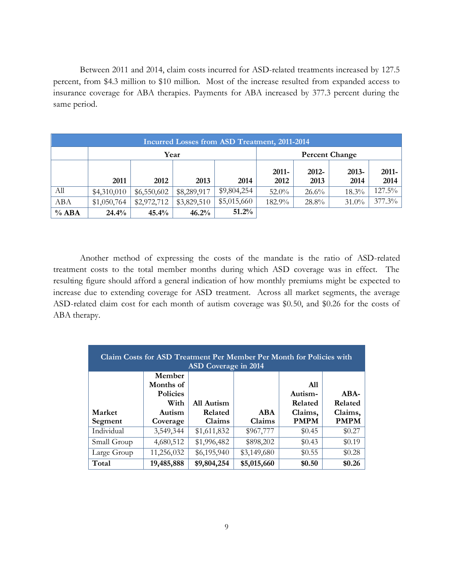Between 2011 and 2014, claim costs incurred for ASD-related treatments increased by 127.5 percent, from \$4.3 million to \$10 million. Most of the increase resulted from expanded access to insurance coverage for ABA therapies. Payments for ABA increased by 377.3 percent during the same period.

| Incurred Losses from ASD Treatment, 2011-2014 |             |             |             |             |          |          |          |          |
|-----------------------------------------------|-------------|-------------|-------------|-------------|----------|----------|----------|----------|
| Year<br><b>Percent Change</b>                 |             |             |             |             |          |          |          |          |
|                                               |             |             |             |             | 2011-    | 2012-    | $2013 -$ | $2011 -$ |
|                                               | 2011        | 2012        | 2013        | 2014        | 2012     | 2013     | 2014     | 2014     |
| Аll                                           | \$4,310,010 | \$6,550,602 | \$8,289,917 | \$9,804,254 | $52.0\%$ | $26.6\%$ | $18.3\%$ | 127.5%   |
| ABA                                           | \$1,050,764 | \$2,972,712 | \$3,829,510 | \$5,015,660 | 182.9%   | 28.8%    | $31.0\%$ | 377.3%   |
| $%$ ABA                                       | 24.4%       | 45.4%       | 46.2%       | $51.2\%$    |          |          |          |          |

Another method of expressing the costs of the mandate is the ratio of ASD-related treatment costs to the total member months during which ASD coverage was in effect. The resulting figure should afford a general indication of how monthly premiums might be expected to increase due to extending coverage for ASD treatment. Across all market segments, the average ASD-related claim cost for each month of autism coverage was \$0.50, and \$0.26 for the costs of ABA therapy.

| Claim Costs for ASD Treatment Per Member Per Month for Policies with<br>ASD Coverage in 2014 |                 |             |             |             |             |  |  |
|----------------------------------------------------------------------------------------------|-----------------|-------------|-------------|-------------|-------------|--|--|
|                                                                                              | Member          |             |             |             |             |  |  |
|                                                                                              | Months of       |             |             | <b>A11</b>  |             |  |  |
|                                                                                              | <b>Policies</b> |             |             | Autism-     | ABA-        |  |  |
|                                                                                              | With            | All Autism  |             | Related     | Related     |  |  |
| Market                                                                                       | Autism          | Related     | ABA         | Claims,     | Claims,     |  |  |
| Segment                                                                                      | Coverage        | Claims      | Claims      | <b>PMPM</b> | <b>PMPM</b> |  |  |
| Individual                                                                                   | 3,549,344       | \$1,611,832 | \$967,777   | \$0.45      | \$0.27      |  |  |
| Small Group                                                                                  | 4,680,512       | \$1,996,482 | \$898,202   | \$0.43      | \$0.19      |  |  |
| Large Group                                                                                  | 11,256,032      | \$6,195,940 | \$3,149,680 | \$0.55      | \$0.28      |  |  |
|                                                                                              |                 |             |             |             |             |  |  |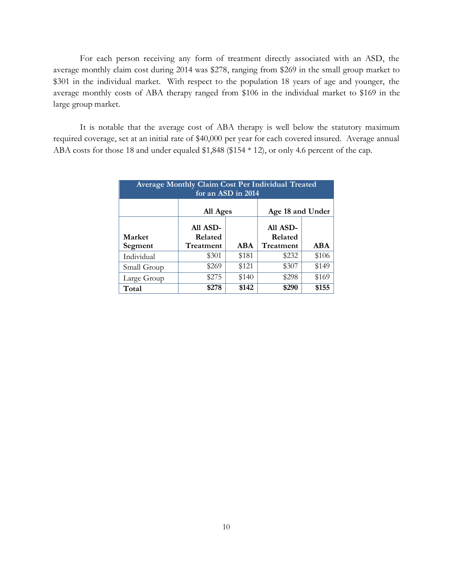For each person receiving any form of treatment directly associated with an ASD, the average monthly claim cost during 2014 was \$278, ranging from \$269 in the small group market to \$301 in the individual market. With respect to the population 18 years of age and younger, the average monthly costs of ABA therapy ranged from \$106 in the individual market to \$169 in the large group market.

It is notable that the average cost of ABA therapy is well below the statutory maximum required coverage, set at an initial rate of \$40,000 per year for each covered insured. Average annual ABA costs for those 18 and under equaled \$1,848 (\$154 \* 12), or only 4.6 percent of the cap.

| <b>Average Monthly Claim Cost Per Individual Treated</b><br>for an ASD in 2014 |                                  |                  |                                  |            |  |  |
|--------------------------------------------------------------------------------|----------------------------------|------------------|----------------------------------|------------|--|--|
|                                                                                | All Ages                         | Age 18 and Under |                                  |            |  |  |
| Market<br>Segment                                                              | All ASD-<br>Related<br>Treatment | <b>ABA</b>       | All ASD-<br>Related<br>Treatment | <b>ABA</b> |  |  |
| Individual                                                                     | \$301                            | \$181            | \$232                            | \$106      |  |  |
| Small Group                                                                    | \$269                            | \$121            | \$307                            | \$149      |  |  |
| Large Group                                                                    | \$275                            | \$140            | \$298                            | \$169      |  |  |
| Total                                                                          | \$278                            | \$142            | \$290                            | \$155      |  |  |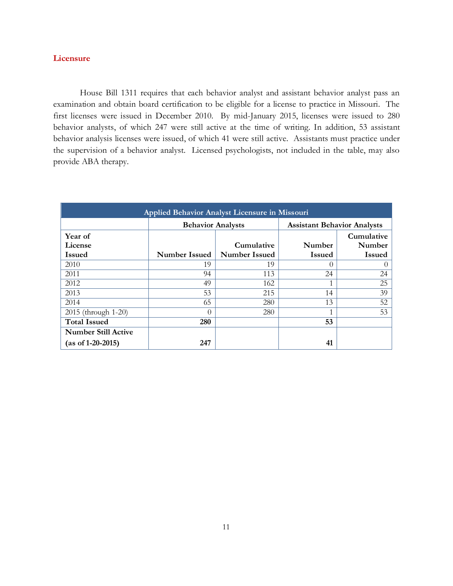## **Licensure**

House Bill 1311 requires that each behavior analyst and assistant behavior analyst pass an examination and obtain board certification to be eligible for a license to practice in Missouri. The first licenses were issued in December 2010. By mid-January 2015, licenses were issued to 280 behavior analysts, of which 247 were still active at the time of writing. In addition, 53 assistant behavior analysis licenses were issued, of which 41 were still active. Assistants must practice under the supervision of a behavior analyst. Licensed psychologists, not included in the table, may also provide ABA therapy.

| Applied Behavior Analyst Licensure in Missouri    |                          |                                    |                                    |                                       |  |  |
|---------------------------------------------------|--------------------------|------------------------------------|------------------------------------|---------------------------------------|--|--|
|                                                   | <b>Behavior Analysts</b> |                                    | <b>Assistant Behavior Analysts</b> |                                       |  |  |
| Year of<br>License<br><b>Issued</b>               | Number Issued            | Cumulative<br><b>Number Issued</b> | Number<br><b>Issued</b>            | Cumulative<br>Number<br><b>Issued</b> |  |  |
| 2010                                              | 19                       | 19                                 | 0                                  | 0                                     |  |  |
| 2011                                              | 94                       | 113                                | 24                                 | 24                                    |  |  |
| 2012                                              | 49                       | 162                                |                                    | 25                                    |  |  |
| 2013                                              | 53                       | 215                                | 14                                 | 39                                    |  |  |
| 2014                                              | 65                       | 280                                | 13                                 | 52                                    |  |  |
| 2015 (through 1-20)                               | 0                        | 280                                |                                    | 53                                    |  |  |
| <b>Total Issued</b>                               | 280                      |                                    | 53                                 |                                       |  |  |
| <b>Number Still Active</b><br>$(as of 1-20-2015)$ | 247                      |                                    | 41                                 |                                       |  |  |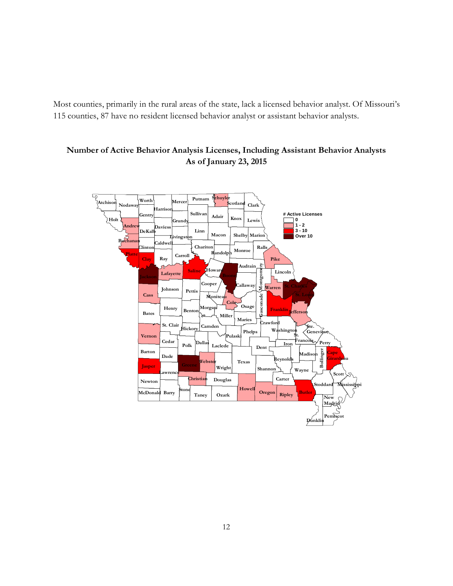Most counties, primarily in the rural areas of the state, lack a licensed behavior analyst. Of Missouri's 115 counties, 87 have no resident licensed behavior analyst or assistant behavior analysts.



# **Number of Active Behavior Analysis Licenses, Including Assistant Behavior Analysts As of January 23, 2015**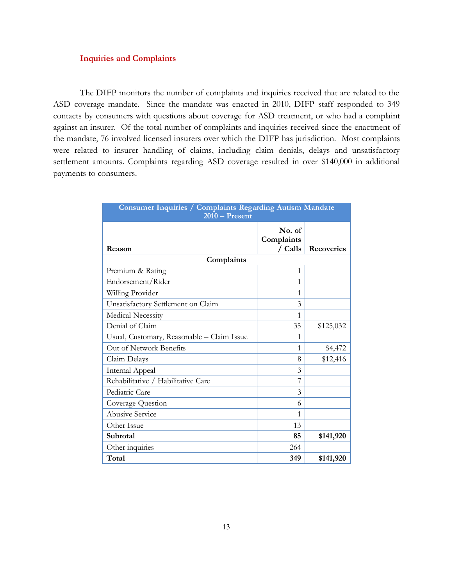## **Inquiries and Complaints**

The DIFP monitors the number of complaints and inquiries received that are related to the ASD coverage mandate. Since the mandate was enacted in 2010, DIFP staff responded to 349 contacts by consumers with questions about coverage for ASD treatment, or who had a complaint against an insurer. Of the total number of complaints and inquiries received since the enactment of the mandate, 76 involved licensed insurers over which the DIFP has jurisdiction. Most complaints were related to insurer handling of claims, including claim denials, delays and unsatisfactory settlement amounts. Complaints regarding ASD coverage resulted in over \$140,000 in additional payments to consumers.

| <b>Consumer Inquiries / Complaints Regarding Autism Mandate</b><br>$2010$ – Present |                                        |                   |  |  |  |  |  |
|-------------------------------------------------------------------------------------|----------------------------------------|-------------------|--|--|--|--|--|
| Reason                                                                              | No. of<br>Complaints<br>$\angle$ Calls | <b>Recoveries</b> |  |  |  |  |  |
| Complaints                                                                          |                                        |                   |  |  |  |  |  |
| Premium & Rating                                                                    | 1                                      |                   |  |  |  |  |  |
| Endorsement/Rider                                                                   | 1                                      |                   |  |  |  |  |  |
| Willing Provider                                                                    | 1                                      |                   |  |  |  |  |  |
| Unsatisfactory Settlement on Claim                                                  | 3                                      |                   |  |  |  |  |  |
| <b>Medical Necessity</b>                                                            | 1                                      |                   |  |  |  |  |  |
| Denial of Claim                                                                     | 35                                     | \$125,032         |  |  |  |  |  |
| Usual, Customary, Reasonable - Claim Issue                                          | 1                                      |                   |  |  |  |  |  |
| Out of Network Benefits                                                             | 1                                      | \$4,472           |  |  |  |  |  |
| Claim Delays                                                                        | 8                                      | \$12,416          |  |  |  |  |  |
| Internal Appeal                                                                     | 3                                      |                   |  |  |  |  |  |
| Rehabilitative / Habilitative Care                                                  |                                        |                   |  |  |  |  |  |
| Pediatric Care                                                                      | 3                                      |                   |  |  |  |  |  |
| Coverage Question                                                                   | 6                                      |                   |  |  |  |  |  |
| <b>Abusive Service</b>                                                              | 1                                      |                   |  |  |  |  |  |
| Other Issue                                                                         | 13                                     |                   |  |  |  |  |  |
| Subtotal                                                                            | 85                                     | \$141,920         |  |  |  |  |  |
| Other inquiries                                                                     | 264                                    |                   |  |  |  |  |  |
| Total                                                                               | 349                                    | \$141,920         |  |  |  |  |  |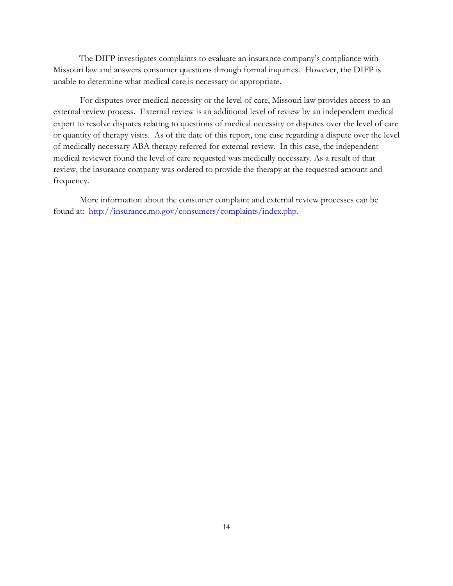The DIFP investigates complaints to evaluate an insurance company's compliance with Missouri law and answers consumer questions through formal inquiries. However, the DIFP is unable to determine what medical care is necessary or appropriate.

For disputes over medical necessity or the level of care, Missouri law provides access to an external review process. External review is an additional level of review by an independent medical expert to resolve disputes relating to questions of medical necessity or disputes over the level of care or quantity of therapy visits. As of the date of this report, one case regarding a dispute over the level of medically necessary ABA therapy referred for external review. In this case, the independent medical reviewer found the level of care requested was medically necessary. As a result of that review, the insurance company was ordered to provide the therapy at the requested amount and frequency.

More information about the consumer complaint and external review processes can be found at: [http://insurance.mo.gov/consumers/complaints/index.php.](http://insurance.mo.gov/consumers/complaints/index.php)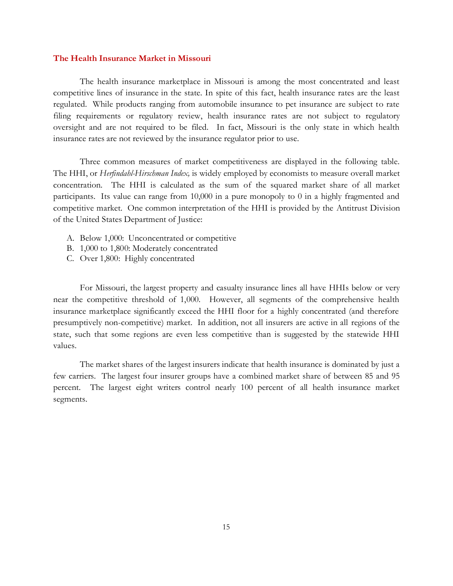### **The Health Insurance Market in Missouri**

The health insurance marketplace in Missouri is among the most concentrated and least competitive lines of insurance in the state. In spite of this fact, health insurance rates are the least regulated. While products ranging from automobile insurance to pet insurance are subject to rate filing requirements or regulatory review, health insurance rates are not subject to regulatory oversight and are not required to be filed. In fact, Missouri is the only state in which health insurance rates are not reviewed by the insurance regulator prior to use.

Three common measures of market competitiveness are displayed in the following table. The HHI, or *Herfindahl-Hirschman Index,* is widely employed by economists to measure overall market concentration. The HHI is calculated as the sum of the squared market share of all market participants. Its value can range from 10,000 in a pure monopoly to 0 in a highly fragmented and competitive market. One common interpretation of the HHI is provided by the Antitrust Division of the United States Department of Justice:

- A. Below 1,000: Unconcentrated or competitive
- B. 1,000 to 1,800: Moderately concentrated
- C. Over 1,800: Highly concentrated

For Missouri, the largest property and casualty insurance lines all have HHIs below or very near the competitive threshold of 1,000. However, all segments of the comprehensive health insurance marketplace significantly exceed the HHI floor for a highly concentrated (and therefore presumptively non-competitive) market. In addition, not all insurers are active in all regions of the state, such that some regions are even less competitive than is suggested by the statewide HHI values.

The market shares of the largest insurers indicate that health insurance is dominated by just a few carriers. The largest four insurer groups have a combined market share of between 85 and 95 percent. The largest eight writers control nearly 100 percent of all health insurance market segments.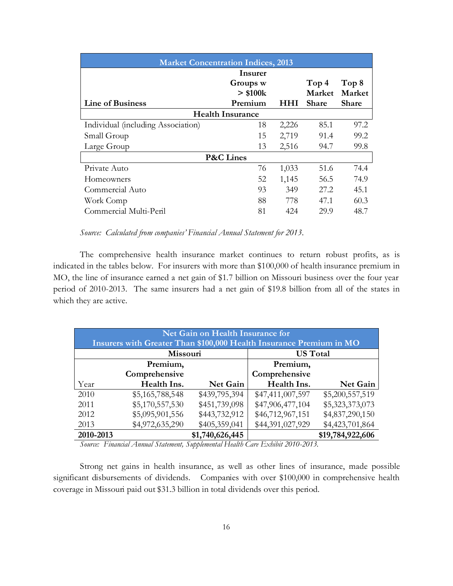| <b>Market Concentration Indices, 2013</b> |               |       |                  |              |  |  |  |
|-------------------------------------------|---------------|-------|------------------|--------------|--|--|--|
|                                           | Insurer       |       |                  |              |  |  |  |
|                                           | Groups w      |       | Top <sub>4</sub> | Top 8        |  |  |  |
|                                           | $>$ \$100 $k$ |       | Market           | Market       |  |  |  |
| <b>Line of Business</b>                   | Premium       | HHI   | <b>Share</b>     | <b>Share</b> |  |  |  |
| <b>Health Insurance</b>                   |               |       |                  |              |  |  |  |
| Individual (including Association)        | 18            | 2,226 | 85.1             | 97.2         |  |  |  |
| Small Group                               | 15            | 2,719 | 91.4             | 99.2         |  |  |  |
| Large Group                               | 13            | 2,516 | 94.7             | 99.8         |  |  |  |
| <b>P&amp;C</b> Lines                      |               |       |                  |              |  |  |  |
| Private Auto                              | 76            | 1,033 | 51.6             | 74.4         |  |  |  |
| Homeowners                                | 52            | 1,145 | 56.5             | 74.9         |  |  |  |
| Commercial Auto                           | 93            | 349   | 27.2             | 45.1         |  |  |  |
| Work Comp                                 | 88            | 778   | 47.1             | 60.3         |  |  |  |
| Commercial Multi-Peril                    | 81            | 424   | 29.9             | 48.7         |  |  |  |

*Source: Calculated from companies' Financial Annual Statement for 2013.*

The comprehensive health insurance market continues to return robust profits, as is indicated in the tables below. For insurers with more than \$100,000 of health insurance premium in MO, the line of insurance earned a net gain of \$1.7 billion on Missouri business over the four year period of 2010-2013. The same insurers had a net gain of \$19.8 billion from all of the states in which they are active.

| Net Gain on Health Insurance for                                    |                 |                 |                  |                  |  |  |  |
|---------------------------------------------------------------------|-----------------|-----------------|------------------|------------------|--|--|--|
| Insurers with Greater Than \$100,000 Health Insurance Premium in MO |                 |                 |                  |                  |  |  |  |
| Missouri                                                            |                 |                 | <b>US Total</b>  |                  |  |  |  |
|                                                                     | Premium,        |                 | Premium,         |                  |  |  |  |
|                                                                     | Comprehensive   |                 | Comprehensive    |                  |  |  |  |
| Year                                                                | Health Ins.     | Net Gain        | Health Ins.      | Net Gain         |  |  |  |
| 2010                                                                | \$5,165,788,548 | \$439,795,394   | \$47,411,007,597 | \$5,200,557,519  |  |  |  |
| 2011                                                                | \$5,170,557,530 | \$451,739,098   | \$47,906,477,104 | \$5,323,373,073  |  |  |  |
| 2012                                                                | \$5,095,901,556 | \$443,732,912   | \$46,712,967,151 | \$4,837,290,150  |  |  |  |
| 2013                                                                | \$4,972,635,290 | \$405,359,041   | \$44,391,027,929 | \$4,423,701,864  |  |  |  |
| 2010-2013                                                           |                 | \$1,740,626,445 |                  | \$19,784,922,606 |  |  |  |

*Source: Financial Annual Statement, Supplemental Health Care Exhibit 2010-2013.*

Strong net gains in health insurance, as well as other lines of insurance, made possible significant disbursements of dividends. Companies with over \$100,000 in comprehensive health coverage in Missouri paid out \$31.3 billion in total dividends over this period.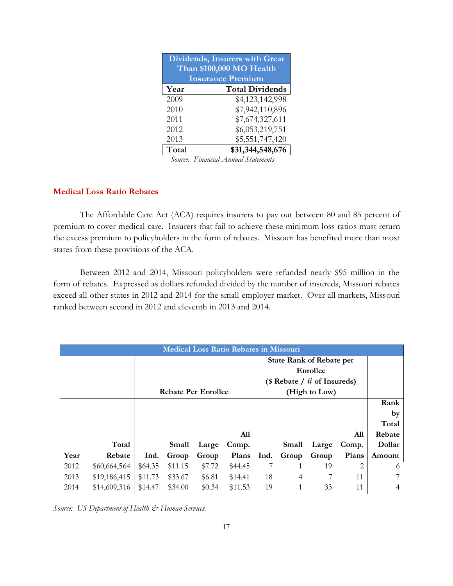| <b>Dividends, Insurers with Great</b> |                        |  |  |  |  |  |
|---------------------------------------|------------------------|--|--|--|--|--|
| Than \$100,000 MO Health              |                        |  |  |  |  |  |
| <b>Insurance Premium</b>              |                        |  |  |  |  |  |
| Year                                  | <b>Total Dividends</b> |  |  |  |  |  |
| 2009                                  | \$4,123,142,998        |  |  |  |  |  |
| 2010                                  | \$7,942,110,896        |  |  |  |  |  |
| 2011                                  | \$7,674,327,611        |  |  |  |  |  |
| 2012                                  | \$6,053,219,751        |  |  |  |  |  |
| 2013                                  | \$5,551,747,420        |  |  |  |  |  |
| Total                                 | \$31,344,548,676       |  |  |  |  |  |

 *Source: Financial Annual Statements*

# **Medical Loss Ratio Rebates**

The Affordable Care Act (ACA) requires insurers to pay out between 80 and 85 percent of premium to cover medical care. Insurers that fail to achieve these minimum loss ratios must return the excess premium to policyholders in the form of rebates. Missouri has benefited more than most states from these provisions of the ACA.

Between 2012 and 2014, Missouri policyholders were refunded nearly \$95 million in the form of rebates. Expressed as dollars refunded divided by the number of insureds, Missouri rebates exceed all other states in 2012 and 2014 for the small employer market. Over all markets, Missouri ranked between second in 2012 and eleventh in 2013 and 2014.

| <b>Medical Loss Ratio Rebates in Missouri</b> |              |                            |         |        |         |                               |                                 |       |       |        |
|-----------------------------------------------|--------------|----------------------------|---------|--------|---------|-------------------------------|---------------------------------|-------|-------|--------|
|                                               |              |                            |         |        |         |                               | <b>State Rank of Rebate per</b> |       |       |        |
|                                               |              |                            |         |        |         |                               | Enrollee                        |       |       |        |
|                                               |              |                            |         |        |         | (\$ Rebate $/$ # of Insureds) |                                 |       |       |        |
|                                               |              | <b>Rebate Per Enrollee</b> |         |        |         |                               | (High to Low)                   |       |       |        |
|                                               |              |                            |         |        |         |                               |                                 |       |       | Rank   |
|                                               |              |                            |         |        |         |                               |                                 |       |       | by     |
|                                               |              |                            |         |        |         |                               |                                 |       |       | Total  |
|                                               |              |                            |         |        | All     |                               |                                 |       | All   | Rebate |
|                                               | Total        |                            | Small   | Large  | Comp.   |                               | Small                           | Large | Comp. | Dollar |
| Year                                          | Rebate       | Ind.                       | Group   | Group  | Plans   | Ind.                          | Group                           | Group | Plans | Amount |
| 2012                                          | \$60,664,564 | \$64.35                    | \$11.15 | \$7.72 | \$44.45 |                               |                                 | 19    | 2     | 6      |
| 2013                                          | \$19,186,415 | \$11.73                    | \$33.67 | \$6.81 | \$14.41 | 18                            | 4                               |       | 11    | 7      |
| 2014                                          | \$14,609,316 | \$14.47                    | \$34.00 | \$0.34 | \$11.53 | 19                            |                                 | 33    | 11    | 4      |

Source: US Department of Health & Human Services.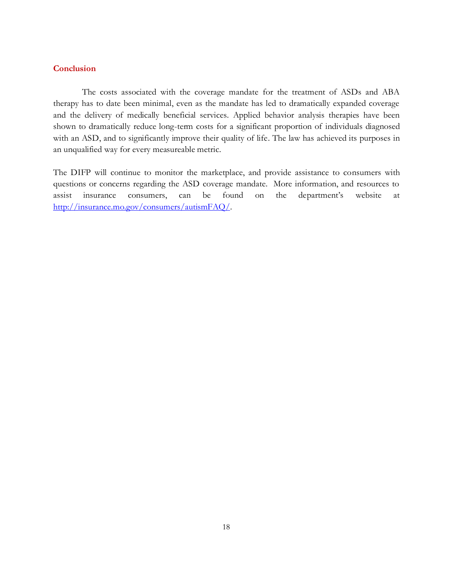# **Conclusion**

The costs associated with the coverage mandate for the treatment of ASDs and ABA therapy has to date been minimal, even as the mandate has led to dramatically expanded coverage and the delivery of medically beneficial services. Applied behavior analysis therapies have been shown to dramatically reduce long-term costs for a significant proportion of individuals diagnosed with an ASD, and to significantly improve their quality of life. The law has achieved its purposes in an unqualified way for every measureable metric.

The DIFP will continue to monitor the marketplace, and provide assistance to consumers with questions or concerns regarding the ASD coverage mandate. More information, and resources to assist insurance consumers, can be found on the department's website at [http://insurance.mo.gov/consumers/autismFAQ/.](http://insurance.mo.gov/consumers/autismFAQ/)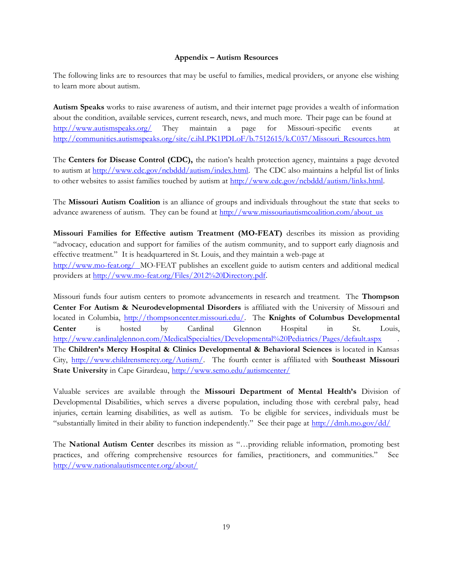#### **Appendix – Autism Resources**

The following links are to resources that may be useful to families, medical providers, or anyone else wishing to learn more about autism.

**Autism Speaks** works to raise awareness of autism, and their internet page provides a wealth of information about the condition, available services, current research, news, and much more. Their page can be found at <http://www.autismspeaks.org/> They maintain a page for Missouri-specific events at [http://communities.autismspeaks.org/site/c.ihLPK1PDLoF/b.7512615/k.C037/Missouri\\_Resources.htm](http://communities.autismspeaks.org/site/c.ihLPK1PDLoF/b.7512615/k.C037/Missouri_Resources.htm)

The **Centers for Disease Control (CDC),** the nation's health protection agency, maintains a page devoted to autism at [http://www.cdc.gov/ncbddd/autism/index.html.](http://www.cdc.gov/ncbddd/autism/index.html) The CDC also maintains a helpful list of links to other websites to assist families touched by autism at [http://www.cdc.gov/ncbddd/autism/links.html.](http://www.cdc.gov/ncbddd/autism/links.html)

The **Missouri Autism Coalition** is an alliance of groups and individuals throughout the state that seeks to advance awareness of autism. They can be found at [http://www.missouriautismcoalition.com/about\\_us](http://www.missouriautismcoalition.com/about_us)

**Missouri Families for Effective autism Treatment (MO-FEAT)** describes its mission as providing "advocacy, education and support for families of the autism community, and to support early diagnosis and effective treatment." It is headquartered in St. Louis, and they maintain a web-page at <http://www.mo-feat.org/>MO-FEAT publishes an excellent guide to autism centers and additional medical providers at [http://www.mo-feat.org/Files/2012%20Directory.pdf.](http://www.mo-feat.org/Files/2012%20Directory.pdf) 

Missouri funds four autism centers to promote advancements in research and treatment. The **Thompson Center For Autism & Neurodevelopmental Disorders** is affiliated with the University of Missouri and located in Columbia, [http://thompsoncenter.missouri.edu/.](http://thompsoncenter.missouri.edu/) The **Knights of Columbus Developmental Center** is hosted by Cardinal Glennon Hospital in St. Louis, <http://www.cardinalglennon.com/MedicalSpecialties/Developmental%20Pediatrics/Pages/default.aspx> . The **Children's Mercy Hospital & Clinics Developmental & Behavioral Sciences** is located in Kansas City, [http://www.childrensmercy.org/Autism/.](http://www.childrensmercy.org/Autism/) The fourth center is affiliated with **Southeast Missouri State University** in Cape Girardeau,<http://www.semo.edu/autismcenter/>

Valuable services are available through the **Missouri Department of Mental Health's** Division of Developmental Disabilities, which serves a diverse population, including those with cerebral palsy, head injuries, certain learning disabilities, as well as autism. To be eligible for services, individuals must be "substantially limited in their ability to function independently." See their page at  $\frac{http://dmh.mo.gov/dd/}{http://dmh.mo.gov/dd/}{$  $\frac{http://dmh.mo.gov/dd/}{http://dmh.mo.gov/dd/}{$  $\frac{http://dmh.mo.gov/dd/}{http://dmh.mo.gov/dd/}{$ 

The **National Autism Center** describes its mission as "…providing reliable information, promoting best practices, and offering comprehensive resources for families, practitioners, and communities." See <http://www.nationalautismcenter.org/about/>